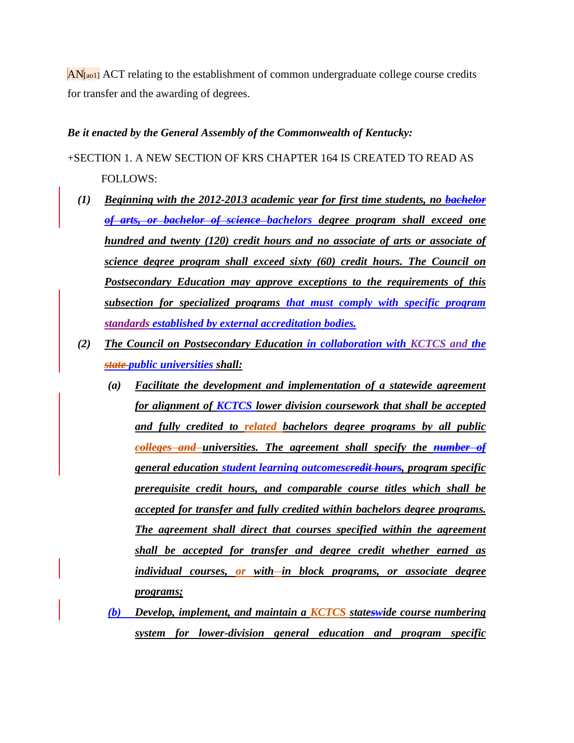$AN$ [ao1] ACT relating to the establishment of common undergraduate college course credits for transfer and the awarding of degrees.

## *Be it enacted by the General Assembly of the Commonwealth of Kentucky:*

+SECTION 1. A NEW SECTION OF KRS CHAPTER 164 IS CREATED TO READ AS FOLLOWS:

- *(1) Beginning with the 2012-2013 academic year for first time students, no bachelor of arts, or bachelor of science bachelors degree program shall exceed one hundred and twenty (120) credit hours and no associate of arts or associate of science degree program shall exceed sixty (60) credit hours. The Council on Postsecondary Education may approve exceptions to the requirements of this subsection for specialized programs that must comply with specific program standards established by external accreditation bodies.*
- *(2) The Council on Postsecondary Education in collaboration with KCTCS and the state public universities shall:*
	- *(a) Facilitate the development and implementation of a statewide agreement for alignment of KCTCS lower division coursework that shall be accepted and fully credited to related bachelors degree programs by all public colleges and universities. The agreement shall specify the number of general education student learning outcomescredit hours, program specific prerequisite credit hours, and comparable course titles which shall be accepted for transfer and fully credited within bachelors degree programs. The agreement shall direct that courses specified within the agreement shall be accepted for transfer and degree credit whether earned as individual courses, or with in block programs, or associate degree programs;*
	- *(b) Develop, implement, and maintain a KCTCS stateswide course numbering system for lower-division general education and program specific*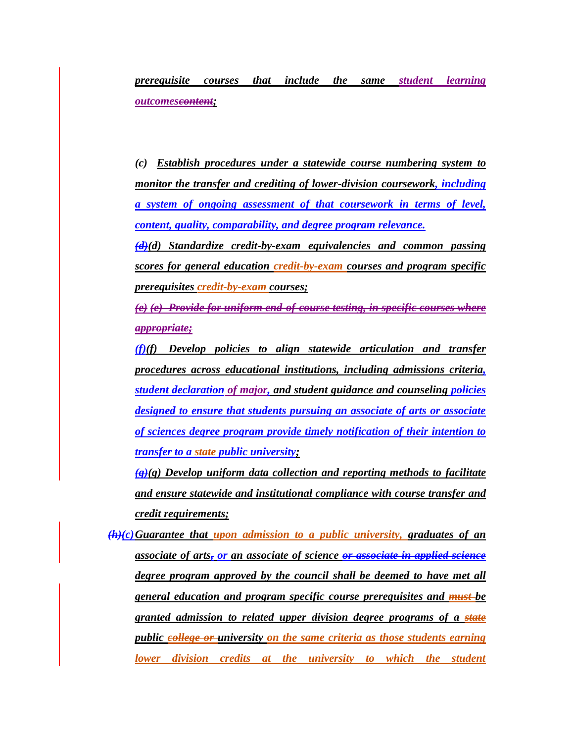*prerequisite courses that include the same student learning outcomescontent;*

*(c) Establish procedures under a statewide course numbering system to monitor the transfer and crediting of lower-division coursework, including a system of ongoing assessment of that coursework in terms of level, content, quality, comparability, and degree program relevance.*

*(d)(d) Standardize credit-by-exam equivalencies and common passing scores for general education credit-by-exam courses and program specific prerequisites credit-by-exam courses;*

*(e) (e) Provide for uniform end-of-course testing, in specific courses where appropriate;*

*(f)(f) Develop policies to align statewide articulation and transfer procedures across educational institutions, including admissions criteria, student declaration of major, and student guidance and counseling policies designed to ensure that students pursuing an associate of arts or associate of sciences degree program provide timely notification of their intention to transfer to a state public university;*

*(g)(g) Develop uniform data collection and reporting methods to facilitate and ensure statewide and institutional compliance with course transfer and credit requirements;*

*(h)(c)Guarantee that upon admission to a public university, graduates of an associate of arts, or an associate of science or associate in applied science degree program approved by the council shall be deemed to have met all general education and program specific course prerequisites and must be granted admission to related upper division degree programs of a state public college or university on the same criteria as those students earning lower division credits at the university to which the student*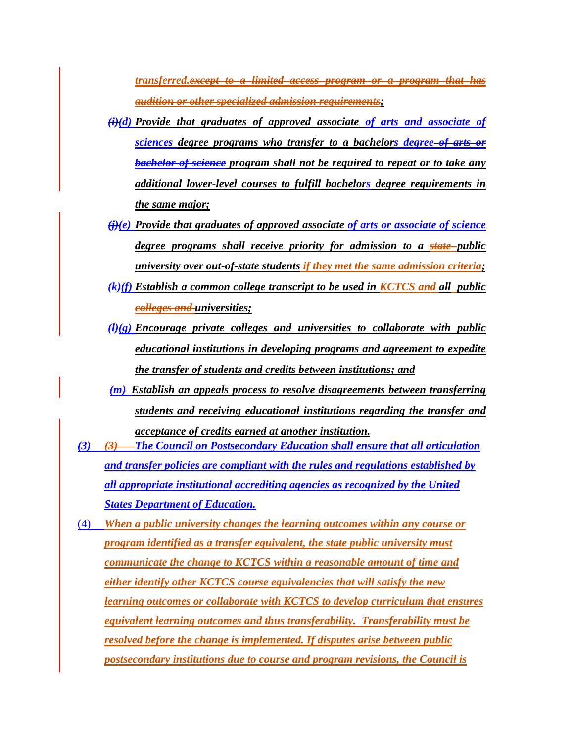*transferred.except to a limited access program or a program that has audition or other specialized admission requirements;*

- $(i)$ (*i*)(*d*) *Provide that graduates of approved associate of arts and associate of sciences degree programs who transfer to a bachelors degree of arts or bachelor of science program shall not be required to repeat or to take any additional lower-level courses to fulfill bachelors degree requirements in the same major;*
- *(j)(e) Provide that graduates of approved associate of arts or associate of science degree programs shall receive priority for admission to a state public university over out-of-state students if they met the same admission criteria;*
- *(k)(f) Establish a common college transcript to be used in KCTCS and all public colleges and universities;*
- *(l)(g) Encourage private colleges and universities to collaborate with public educational institutions in developing programs and agreement to expedite the transfer of students and credits between institutions; and*
- *(m) Establish an appeals process to resolve disagreements between transferring students and receiving educational institutions regarding the transfer and acceptance of credits earned at another institution.*
- *(3) (3) The Council on Postsecondary Education shall ensure that all articulation and transfer policies are compliant with the rules and regulations established by all appropriate institutional accrediting agencies as recognized by the United States Department of Education.*
- (4) *When a public university changes the learning outcomes within any course or program identified as a transfer equivalent, the state public university must communicate the change to KCTCS within a reasonable amount of time and either identify other KCTCS course equivalencies that will satisfy the new learning outcomes or collaborate with KCTCS to develop curriculum that ensures equivalent learning outcomes and thus transferability. Transferability must be resolved before the change is implemented. If disputes arise between public postsecondary institutions due to course and program revisions, the Council is*